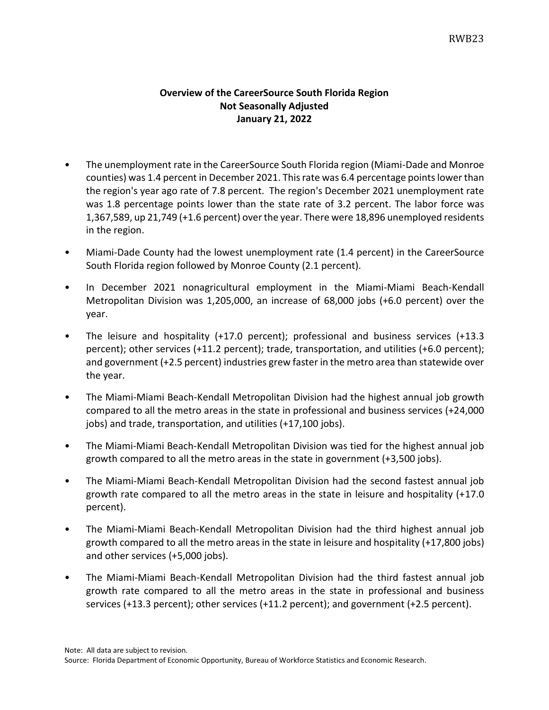## **Overview of the CareerSource South Florida Region Not Seasonally Adjusted January 21, 2022**

- The unemployment rate in the CareerSource South Florida region (Miami-Dade and Monroe counties) was 1.4 percent in December 2021. This rate was 6.4 percentage pointslower than the region's year ago rate of 7.8 percent. The region's December 2021 unemployment rate was 1.8 percentage points lower than the state rate of 3.2 percent. The labor force was 1,367,589, up 21,749 (+1.6 percent) over the year. There were 18,896 unemployed residents in the region.
- Miami-Dade County had the lowest unemployment rate (1.4 percent) in the CareerSource South Florida region followed by Monroe County (2.1 percent).
- In December 2021 nonagricultural employment in the Miami-Miami Beach-Kendall Metropolitan Division was 1,205,000, an increase of 68,000 jobs (+6.0 percent) over the year.
- The leisure and hospitality (+17.0 percent); professional and business services (+13.3 percent); other services (+11.2 percent); trade, transportation, and utilities (+6.0 percent); and government (+2.5 percent) industries grew faster in the metro area than statewide over the year.
- The Miami-Miami Beach-Kendall Metropolitan Division had the highest annual job growth compared to all the metro areas in the state in professional and business services (+24,000 jobs) and trade, transportation, and utilities (+17,100 jobs).
- The Miami-Miami Beach-Kendall Metropolitan Division was tied for the highest annual job growth compared to all the metro areas in the state in government (+3,500 jobs).
- The Miami-Miami Beach-Kendall Metropolitan Division had the second fastest annual job growth rate compared to all the metro areas in the state in leisure and hospitality (+17.0 percent).
- The Miami-Miami Beach-Kendall Metropolitan Division had the third highest annual job growth compared to all the metro areas in the state in leisure and hospitality (+17,800 jobs) and other services (+5,000 jobs).
- The Miami-Miami Beach-Kendall Metropolitan Division had the third fastest annual job growth rate compared to all the metro areas in the state in professional and business services (+13.3 percent); other services (+11.2 percent); and government (+2.5 percent).